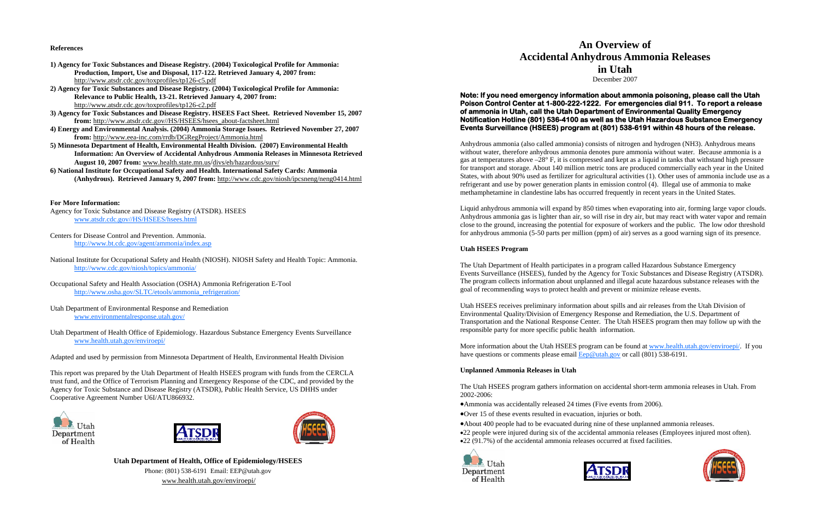## **References**

- **1) Agency for Toxic Substances and Disease Registry. (2004) Toxicological Profile for Ammonia: Production, Import, Use and Disposal, 117-122. Retrieved January 4, 2007 from:**  http://www.atsdr.cdc.gov/toxprofiles/tp126-c5.pdf
- **2) Agency for Toxic Substances and Disease Registry. (2004) Toxicological Profile for Ammonia: Relevance to Public Health, 13-21. Retrieved January 4, 2007 from:**  http://www.atsdr.cdc.gov/toxprofiles/tp126-c2.pdf
- **3) Agency for Toxic Substances and Disease Registry. HSEES Fact Sheet. Retrieved November 15, 2007 from:** http://www.atsdr.cdc.gov//HS/HSEES/hsees\_about-factsheet.html
- **4) Energy and Environmental Analysis. (2004) Ammonia Storage Issues. Retrieved November 27, 2007 from:** http://www.eea-inc.com/rrdb/DGRegProject/Ammonia.html
- **5) Minnesota Department of Health, Environmental Health Division. (2007) Environmental Health Information: An Overview of Accidental Anhydrous Ammonia Releases in Minnesota Retrieved August 10, 2007 from:** www.health.state.mn.us/divs/eh/hazardous/surv/
- **6) National Institute for Occupational Safety and Health. International Safety Cards: Ammonia (Anhydrous). Retrieved January 9, 2007 from:** http://www.cdc.gov/niosh/ipcsneng/neng0414.html

## **For More Information:**

- Agency for Toxic Substance and Disease Registry (ATSDR). HSEES www.atsdr.cdc.gov//HS/HSEES/hsees.html
- Centers for Disease Control and Prevention. Ammonia. http://www.bt.cdc.gov/agent/ammonia/index.asp
- National Institute for Occupational Safety and Health (NIOSH). NIOSH Safety and Health Topic: Ammonia. http://www.cdc.gov/niosh/topics/ammonia/
- Occupational Safety and Health Association (OSHA) Ammonia Refrigeration E-Tool http://www.osha.gov/SLTC/etools/ammonia\_refrigeration/
- Utah Department of Environmental Response and Remediation www.environmentalresponse.utah.gov/
- Utah Department of Health Office of Epidemiology. Hazardous Substance Emergency Events Surveillance www.health.utah.gov/enviroepi/

Adapted and used by permission from Minnesota Department of Health, Environmental Health Division

This report was prepared by the Utah Department of Health HSEES program with funds from the CERCLA trust fund, and the Office of Terrorism Planning and Emergency Response of the CDC, and provided by the Agency for Toxic Substance and Disease Registry (ATSDR), Public Health Service, US DHHS under Cooperative Agreement Number U6I/ATU866932.







**Utah Department of Health, Office of Epidemiology/HSEES**  Phone: (801) 538-6191 Email: EEP@utah.gov www.health.utah.gov/enviroepi/

# **An Overview of Accidental Anhydrous Ammonia Releases in Utah**  December 2007

## **Note: If you need emergency information about ammonia poisoning, please call the Utah Poison Control Center at 1-800-222-1222. For emergencies dial 911. To report a release of ammonia in Utah, call the Utah Department of Environmental Quality Emergency Notification Hotline (801) 536-4100 as well as the Utah Hazardous Substance Emergency Events Surveillance (HSEES) program at (801) 538-6191 within 48 hours of the release.**

Anhydrous ammonia (also called ammonia) consists of nitrogen and hydrogen (NH3). Anhydrous means without water, therefore anhydrous ammonia denotes pure ammonia without water. Because ammonia is a gas at temperatures above –28° F, it is compressed and kept as a liquid in tanks that withstand high pressure for transport and storage. About 140 million metric tons are produced commercially each year in the United States, with about 90% used as fertilizer for agricultural activities (1). Other uses of ammonia include use as a refrigerant and use by power generation plants in emission control (4). Illegal use of ammonia to make methamphetamine in clandestine labs has occurred frequently in recent years in the United States.

Liquid anhydrous ammonia will expand by 850 times when evaporating into air, forming large vapor clouds. Anhydrous ammonia gas is lighter than air, so will rise in dry air, but may react with water vapor and remain close to the ground, increasing the potential for exposure of workers and the public. The low odor threshold for anhydrous ammonia (5-50 parts per million (ppm) of air) serves as a good warning sign of its presence.

## **Utah HSEES Program**

The Utah Department of Health participates in a program called Hazardous Substance Emergency Events Surveillance (HSEES), funded by the Agency for Toxic Substances and Disease Registry (ATSDR). The program collects information about unplanned and illegal acute hazardous substance releases with the goal of recommending ways to protect health and prevent or minimize release events.

Utah HSEES receives preliminary information about spills and air releases from the Utah Division of Environmental Quality/Division of Emergency Response and Remediation, the U.S. Department of Transportation and the National Response Center. The Utah HSEES program then may follow up with the responsible party for more specific public health information.

More information about the Utah HSEES program can be found at www.health.utah.gov/enviroepi/. If you have questions or comments please email  $\text{Eep@utah.gov}$  or call (801) 538-6191.

## **Unplanned Ammonia Releases in Utah**

The Utah HSEES program gathers information on accidental short-term ammonia releases in Utah. From 2002-2006:

- •Ammonia was accidentally released 24 times (Five events from 2006).
- •Over 15 of these events resulted in evacuation, injuries or both.
- •About 400 people had to be evacuated during nine of these unplanned ammonia releases.
- 
- •22 (91.7%) of the accidental ammonia releases occurred at fixed facilities.





•22 people were injured during six of the accidental ammonia releases (Employees injured most often).